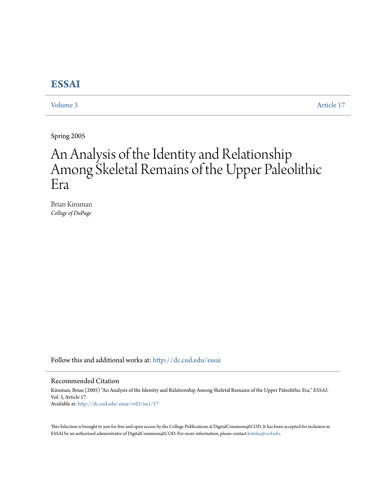# **[ESSAI](http://dc.cod.edu/essai?utm_source=dc.cod.edu%2Fessai%2Fvol3%2Fiss1%2F17&utm_medium=PDF&utm_campaign=PDFCoverPages)**

[Volume 3](http://dc.cod.edu/essai/vol3?utm_source=dc.cod.edu%2Fessai%2Fvol3%2Fiss1%2F17&utm_medium=PDF&utm_campaign=PDFCoverPages) [Article 17](http://dc.cod.edu/essai/vol3/iss1/17?utm_source=dc.cod.edu%2Fessai%2Fvol3%2Fiss1%2F17&utm_medium=PDF&utm_campaign=PDFCoverPages)

Spring 2005

# An Analysis of the Identity and Relationship Among Skeletal Remains of the Upper Paleolithic Era

Brian Kinsman *College of DuPage*

Follow this and additional works at: [http://dc.cod.edu/essai](http://dc.cod.edu/essai?utm_source=dc.cod.edu%2Fessai%2Fvol3%2Fiss1%2F17&utm_medium=PDF&utm_campaign=PDFCoverPages)

#### Recommended Citation

Kinsman, Brian (2005) "An Analysis of the Identity and Relationship Among Skeletal Remains of the Upper Paleolithic Era," *ESSAI*: Vol. 3, Article 17. Available at: [http://dc.cod.edu/essai/vol3/iss1/17](http://dc.cod.edu/essai/vol3/iss1/17?utm_source=dc.cod.edu%2Fessai%2Fvol3%2Fiss1%2F17&utm_medium=PDF&utm_campaign=PDFCoverPages)

This Selection is brought to you for free and open access by the College Publications at DigitalCommons@COD. It has been accepted for inclusion in ESSAI by an authorized administrator of DigitalCommons@COD. For more information, please contact [koteles@cod.edu](mailto:koteles@cod.edu).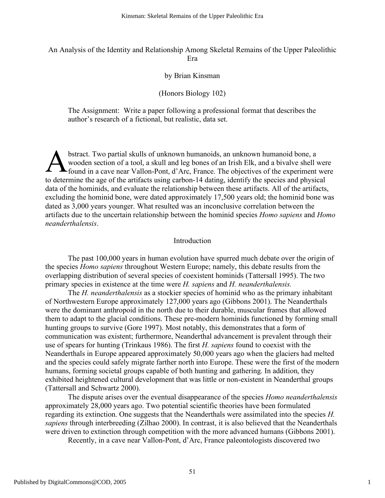# An Analysis of the Identity and Relationship Among Skeletal Remains of the Upper Paleolithic Era

### by Brian Kinsman

## (Honors Biology 102)

The Assignment: Write a paper following a professional format that describes the author's research of a fictional, but realistic, data set.

bstract. Two partial skulls of unknown humanoids, an unknown humanoid bone, a wooden section of a tool, a skull and leg bones of an Irish Elk, and a bivalve shell were found in a cave near Vallon-Pont, d'Arc, France. The objectives of the experiment were to determine the age of the artifacts using carbon-14 dating, identify the species and physical data of the hominids, and evaluate the relationship between these artifacts. All of the artifacts, excluding the hominid bone, were dated approximately 17,500 years old; the hominid bone was dated as 3,000 years younger. What resulted was an inconclusive correlation between the artifacts due to the uncertain relationship between the hominid species *Homo sapiens* and *Homo neanderthalensis*. A

#### Introduction

The past 100,000 years in human evolution have spurred much debate over the origin of the species *Homo sapiens* throughout Western Europe; namely, this debate results from the overlapping distribution of several species of coexistent hominids (Tattersall 1995). The two primary species in existence at the time were *H. sapiens* and *H. neanderthalensis.*

The *H. neanderthalensis* as a stockier species of hominid who as the primary inhabitant of Northwestern Europe approximately 127,000 years ago (Gibbons 2001). The Neanderthals were the dominant anthropoid in the north due to their durable, muscular frames that allowed them to adapt to the glacial conditions. These pre-modern hominids functioned by forming small hunting groups to survive (Gore 1997). Most notably, this demonstrates that a form of communication was existent; furthermore, Neanderthal advancement is prevalent through their use of spears for hunting (Trinkaus 1986). The first *H. sapiens* found to coexist with the Neanderthals in Europe appeared approximately 50,000 years ago when the glaciers had melted and the species could safely migrate farther north into Europe. These were the first of the modern humans, forming societal groups capable of both hunting and gathering. In addition, they exhibited heightened cultural development that was little or non-existent in Neanderthal groups (Tattersall and Schwartz 2000).

The dispute arises over the eventual disappearance of the species *Homo neanderthalensis* approximately 28,000 years ago. Two potential scientific theories have been formulated regarding its extinction. One suggests that the Neanderthals were assimilated into the species *H. sapiens* through interbreeding (Zilhao 2000). In contrast, it is also believed that the Neanderthals were driven to extinction through competition with the more advanced humans (Gibbons 2001).

Recently, in a cave near Vallon-Pont, d'Arc, France paleontologists discovered two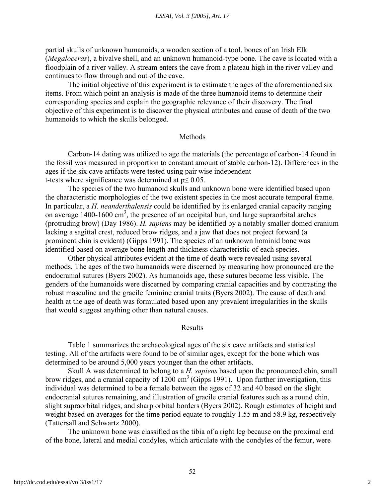partial skulls of unknown humanoids, a wooden section of a tool, bones of an Irish Elk (*Megaloceras*), a bivalve shell, and an unknown humanoid-type bone. The cave is located with a floodplain of a river valley. A stream enters the cave from a plateau high in the river valley and continues to flow through and out of the cave.

The initial objective of this experiment is to estimate the ages of the aforementioned six items. From which point an analysis is made of the three humanoid items to determine their corresponding species and explain the geographic relevance of their discovery. The final objective of this experiment is to discover the physical attributes and cause of death of the two humanoids to which the skulls belonged.

#### **Methods**

Carbon-14 dating was utilized to age the materials (the percentage of carbon-14 found in the fossil was measured in proportion to constant amount of stable carbon-12). Differences in the ages if the six cave artifacts were tested using pair wise independent t-tests where significance was determined at  $p \le 0.05$ .

The species of the two humanoid skulls and unknown bone were identified based upon the characteristic morphologies of the two existent species in the most accurate temporal frame. In particular, a *H. neanderthalensis* could be identified by its enlarged cranial capacity ranging on average  $1400-1600 \text{ cm}^3$ , the presence of an occipital bun, and large supraorbital arches (protruding brow) (Day 1986). *H. sapiens* may be identified by a notably smaller domed cranium lacking a sagittal crest, reduced brow ridges, and a jaw that does not project forward (a prominent chin is evident) (Gipps 1991). The species of an unknown hominid bone was identified based on average bone length and thickness characteristic of each species.

Other physical attributes evident at the time of death were revealed using several methods. The ages of the two humanoids were discerned by measuring how pronounced are the endocranial sutures (Byers 2002). As humanoids age, these sutures become less visible. The genders of the humanoids were discerned by comparing cranial capacities and by contrasting the robust masculine and the gracile feminine cranial traits (Byers 2002). The cause of death and health at the age of death was formulated based upon any prevalent irregularities in the skulls that would suggest anything other than natural causes.

#### Results

Table 1 summarizes the archaeological ages of the six cave artifacts and statistical testing. All of the artifacts were found to be of similar ages, except for the bone which was determined to be around 5,000 years younger than the other artifacts.

Skull A was determined to belong to a *H. sapiens* based upon the pronounced chin, small brow ridges, and a cranial capacity of  $1200 \text{ cm}^3$  (Gipps 1991). Upon further investigation, this individual was determined to be a female between the ages of 32 and 40 based on the slight endocranial sutures remaining, and illustration of gracile cranial features such as a round chin, slight supraorbital ridges, and sharp orbital borders (Byers 2002). Rough estimates of height and weight based on averages for the time period equate to roughly 1.55 m and 58.9 kg, respectively (Tattersall and Schwartz 2000).

The unknown bone was classified as the tibia of a right leg because on the proximal end of the bone, lateral and medial condyles, which articulate with the condyles of the femur, were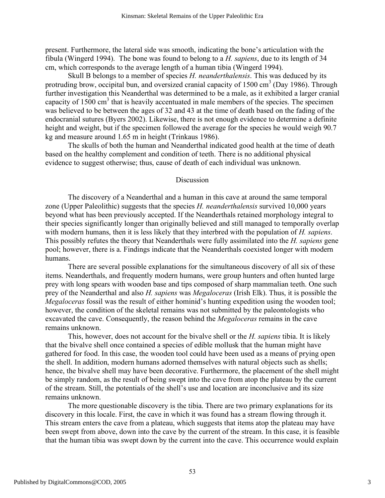present. Furthermore, the lateral side was smooth, indicating the bone's articulation with the fibula (Wingerd 1994). The bone was found to belong to a *H. sapiens*, due to its length of 34 cm, which corresponds to the average length of a human tibia (Wingerd 1994).

Skull B belongs to a member of species *H. neanderthalensis*. This was deduced by its protruding brow, occipital bun, and oversized cranial capacity of  $1500 \text{ cm}^3$  (Day 1986). Through further investigation this Neanderthal was determined to be a male, as it exhibited a larger cranial capacity of  $1500 \text{ cm}^3$  that is heavily accentuated in male members of the species. The specimen was believed to be between the ages of 32 and 43 at the time of death based on the fading of the endocranial sutures (Byers 2002). Likewise, there is not enough evidence to determine a definite height and weight, but if the specimen followed the average for the species he would weigh 90.7 kg and measure around 1.65 m in height (Trinkaus 1986).

The skulls of both the human and Neanderthal indicated good health at the time of death based on the healthy complement and condition of teeth. There is no additional physical evidence to suggest otherwise; thus, cause of death of each individual was unknown.

#### **Discussion**

The discovery of a Neanderthal and a human in this cave at around the same temporal zone (Upper Paleolithic) suggests that the species *H. neanderthalensis* survived 10,000 years beyond what has been previously accepted. If the Neanderthals retained morphology integral to their species significantly longer than originally believed and still managed to temporally overlap with modern humans, then it is less likely that they interbred with the population of *H. sapiens*. This possibly refutes the theory that Neanderthals were fully assimilated into the *H. sapiens* gene pool; however, there is a. Findings indicate that the Neanderthals coexisted longer with modern humans.

There are several possible explanations for the simultaneous discovery of all six of these items. Neanderthals, and frequently modern humans, were group hunters and often hunted large prey with long spears with wooden base and tips composed of sharp mammalian teeth. One such prey of the Neanderthal and also *H. sapiens* was *Megaloceras* (Irish Elk). Thus, it is possible the *Megaloceras* fossil was the result of either hominid's hunting expedition using the wooden tool; however, the condition of the skeletal remains was not submitted by the paleontologists who excavated the cave. Consequently, the reason behind the *Megaloceras* remains in the cave remains unknown.

This, however, does not account for the bivalve shell or the *H. sapiens* tibia. It is likely that the bivalve shell once contained a species of edible mollusk that the human might have gathered for food. In this case, the wooden tool could have been used as a means of prying open the shell. In addition, modern humans adorned themselves with natural objects such as shells; hence, the bivalve shell may have been decorative. Furthermore, the placement of the shell might be simply random, as the result of being swept into the cave from atop the plateau by the current of the stream. Still, the potentials of the shell's use and location are inconclusive and its size remains unknown.

The more questionable discovery is the tibia. There are two primary explanations for its discovery in this locale. First, the cave in which it was found has a stream flowing through it. This stream enters the cave from a plateau, which suggests that items atop the plateau may have been swept from above, down into the cave by the current of the stream. In this case, it is feasible that the human tibia was swept down by the current into the cave. This occurrence would explain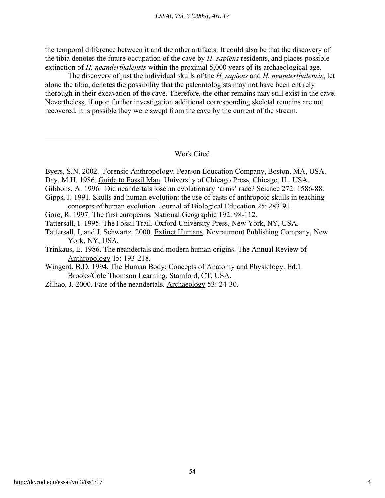the temporal difference between it and the other artifacts. It could also be that the discovery of the tibia denotes the future occupation of the cave by *H. sapiens* residents, and places possible extinction of *H. neanderthalensis* within the proximal 5,000 years of its archaeological age.

The discovery of just the individual skulls of the *H. sapiens* and *H. neanderthalensis*, let alone the tibia, denotes the possibility that the paleontologists may not have been entirely thorough in their excavation of the cave. Therefore, the other remains may still exist in the cave. Nevertheless, if upon further investigation additional corresponding skeletal remains are not recovered, it is possible they were swept from the cave by the current of the stream.

Work Cited

- Day, M.H. 1986. Guide to Fossil Man. University of Chicago Press, Chicago, IL, USA.
- Gibbons, A. 1996. Did neandertals lose an evolutionary 'arms' race? Science 272: 1586-88.
- Gipps, J. 1991. Skulls and human evolution: the use of casts of anthropoid skulls in teaching concepts of human evolution. Journal of Biological Education 25: 283-91.
- Gore, R. 1997. The first europeans. National Geographic 192: 98-112.
- Tattersall, I. 1995. The Fossil Trail. Oxford University Press, New York, NY, USA.
- Tattersall, I, and J. Schwartz. 2000. Extinct Humans. Nevraumont Publishing Company, New York, NY, USA.
- Trinkaus, E. 1986. The neandertals and modern human origins. The Annual Review of Anthropology 15: 193-218.
- Wingerd, B.D. 1994. The Human Body: Concepts of Anatomy and Physiology. Ed.1. Brooks/Cole Thomson Learning, Stamford, CT, USA.
- Zilhao, J. 2000. Fate of the neandertals. Archaeology 53: 24-30.

Byers, S.N. 2002. Forensic Anthropology. Pearson Education Company, Boston, MA, USA.